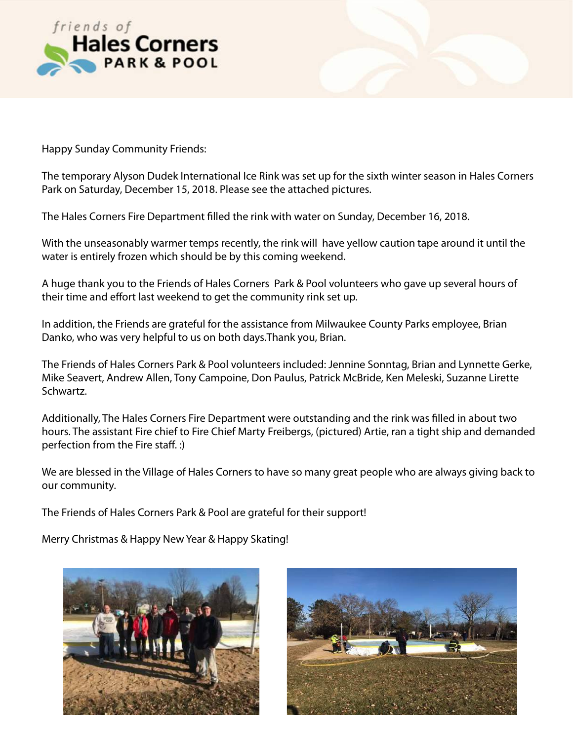



Happy Sunday Community Friends:

The temporary Alyson Dudek International Ice Rink was set up for the sixth winter season in Hales Corners Park on Saturday, December 15, 2018. Please see the attached pictures.

The Hales Corners Fire Department flled the rink with water on Sunday, December 16, 2018.

With the unseasonably warmer temps recently, the rink will have yellow caution tape around it until the water is entirely frozen which should be by this coming weekend.

A huge thank you to the Friends of Hales Corners Park & Pool volunteers who gave up several hours of their time and effort last weekend to get the community rink set up.

In addition, the Friends are grateful for the assistance from Milwaukee County Parks employee, Brian Danko, who was very helpful to us on both days.Thank you, Brian.

The Friends of Hales Corners Park & Pool volunteers included: Jennine Sonntag, Brian and Lynnette Gerke, Mike Seavert, Andrew Allen, Tony Campoine, Don Paulus, Patrick McBride, Ken Meleski, Suzanne Lirette Schwartz.

Additionally, The Hales Corners Fire Department were outstanding and the rink was flled in about two hours. The assistant Fire chief to Fire Chief Marty Freibergs, (pictured) Artie, ran a tight ship and demanded perfection from the Fire staff. :)

We are blessed in the Village of Hales Corners to have so many great people who are always giving back to our community.

The Friends of Hales Corners Park & Pool are grateful for their support!

Merry Christmas & Happy New Year & Happy Skating!